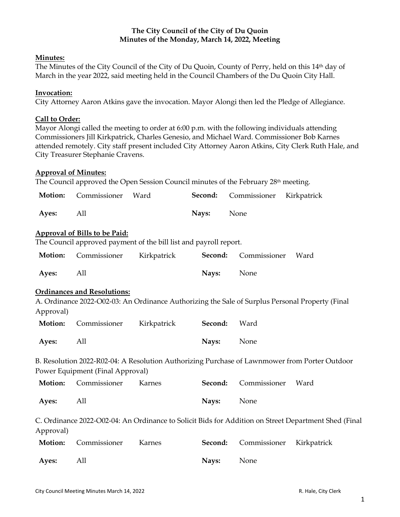# **The City Council of the City of Du Quoin Minutes of the Monday, March 14, 2022, Meeting**

## **Minutes:**

The Minutes of the City Council of the City of Du Quoin, County of Perry, held on this 14th day of March in the year 2022, said meeting held in the Council Chambers of the Du Quoin City Hall.

## **Invocation:**

City Attorney Aaron Atkins gave the invocation. Mayor Alongi then led the Pledge of Allegiance.

## **Call to Order:**

Mayor Alongi called the meeting to order at 6:00 p.m. with the following individuals attending Commissioners Jill Kirkpatrick, Charles Genesio, and Michael Ward. Commissioner Bob Karnes attended remotely. City staff present included City Attorney Aaron Atkins, City Clerk Ruth Hale, and City Treasurer Stephanie Cravens.

#### **Approval of Minutes:**

The Council approved the Open Session Council minutes of the February 28<sup>th</sup> meeting.

| Motion:                                                                                                           | Commissioner                         | Ward                                                              | Second: | Commissioner<br>Kirkpatrick                                                                     |  |  |
|-------------------------------------------------------------------------------------------------------------------|--------------------------------------|-------------------------------------------------------------------|---------|-------------------------------------------------------------------------------------------------|--|--|
| Ayes:                                                                                                             | All                                  |                                                                   | Nays:   | None                                                                                            |  |  |
|                                                                                                                   | <b>Approval of Bills to be Paid:</b> |                                                                   |         |                                                                                                 |  |  |
|                                                                                                                   |                                      | The Council approved payment of the bill list and payroll report. |         |                                                                                                 |  |  |
| Motion:                                                                                                           | Commissioner                         | Kirkpatrick                                                       | Second: | Commissioner<br>Ward                                                                            |  |  |
| Ayes:                                                                                                             | All                                  |                                                                   | Nays:   | None                                                                                            |  |  |
|                                                                                                                   | <b>Ordinances and Resolutions:</b>   |                                                                   |         |                                                                                                 |  |  |
|                                                                                                                   |                                      |                                                                   |         | A. Ordinance 2022-O02-03: An Ordinance Authorizing the Sale of Surplus Personal Property (Final |  |  |
| Approval)                                                                                                         |                                      |                                                                   |         |                                                                                                 |  |  |
| Motion:                                                                                                           | Commissioner                         | Kirkpatrick                                                       | Second: | Ward                                                                                            |  |  |
| Ayes:                                                                                                             | All                                  |                                                                   | Nays:   | None                                                                                            |  |  |
|                                                                                                                   |                                      |                                                                   |         | B. Resolution 2022-R02-04: A Resolution Authorizing Purchase of Lawnmower from Porter Outdoor   |  |  |
|                                                                                                                   | Power Equipment (Final Approval)     |                                                                   |         |                                                                                                 |  |  |
| Motion:                                                                                                           | Commissioner                         | Karnes                                                            | Second: | Commissioner<br>Ward                                                                            |  |  |
| Ayes:                                                                                                             | All                                  |                                                                   | Nays:   | None                                                                                            |  |  |
| C. Ordinance 2022-O02-04: An Ordinance to Solicit Bids for Addition on Street Department Shed (Final<br>Approval) |                                      |                                                                   |         |                                                                                                 |  |  |
| Motion:                                                                                                           | Commissioner                         | Karnes                                                            | Second: | Commissioner<br>Kirkpatrick                                                                     |  |  |
| Ayes:                                                                                                             | All                                  |                                                                   | Nays:   | None                                                                                            |  |  |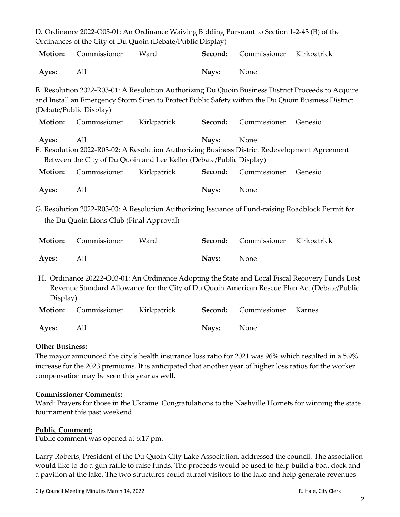|                                                                                                                                                                                                                                      |              | D. Ordinance 2022-O03-01: An Ordinance Waiving Bidding Pursuant to Section 1-2-43 (B) of the |         |              |                                                                                                                                                                                                |  |  |
|--------------------------------------------------------------------------------------------------------------------------------------------------------------------------------------------------------------------------------------|--------------|----------------------------------------------------------------------------------------------|---------|--------------|------------------------------------------------------------------------------------------------------------------------------------------------------------------------------------------------|--|--|
|                                                                                                                                                                                                                                      |              | Ordinances of the City of Du Quoin (Debate/Public Display)                                   |         |              |                                                                                                                                                                                                |  |  |
| Motion:                                                                                                                                                                                                                              | Commissioner | Ward                                                                                         | Second: | Commissioner | Kirkpatrick                                                                                                                                                                                    |  |  |
| Ayes:                                                                                                                                                                                                                                | All          |                                                                                              | Nays:   | None         |                                                                                                                                                                                                |  |  |
| E. Resolution 2022-R03-01: A Resolution Authorizing Du Quoin Business District Proceeds to Acquire<br>and Install an Emergency Storm Siren to Protect Public Safety within the Du Quoin Business District<br>(Debate/Public Display) |              |                                                                                              |         |              |                                                                                                                                                                                                |  |  |
| Motion:                                                                                                                                                                                                                              | Commissioner | Kirkpatrick                                                                                  | Second: | Commissioner | Genesio                                                                                                                                                                                        |  |  |
| All<br>Nays:<br>Ayes:<br>None<br>F. Resolution 2022-R03-02: A Resolution Authorizing Business District Redevelopment Agreement<br>Between the City of Du Quoin and Lee Keller (Debate/Public Display)                                |              |                                                                                              |         |              |                                                                                                                                                                                                |  |  |
| Motion:                                                                                                                                                                                                                              | Commissioner | Kirkpatrick                                                                                  | Second: | Commissioner | Genesio                                                                                                                                                                                        |  |  |
| Ayes:                                                                                                                                                                                                                                | All          |                                                                                              | Nays:   | None         |                                                                                                                                                                                                |  |  |
| G. Resolution 2022-R03-03: A Resolution Authorizing Issuance of Fund-raising Roadblock Permit for<br>the Du Quoin Lions Club (Final Approval)                                                                                        |              |                                                                                              |         |              |                                                                                                                                                                                                |  |  |
| Motion:                                                                                                                                                                                                                              | Commissioner | Ward                                                                                         | Second: | Commissioner | Kirkpatrick                                                                                                                                                                                    |  |  |
|                                                                                                                                                                                                                                      |              |                                                                                              |         |              |                                                                                                                                                                                                |  |  |
| Ayes:                                                                                                                                                                                                                                | All          |                                                                                              | Nays:   | None         |                                                                                                                                                                                                |  |  |
| Display)                                                                                                                                                                                                                             |              |                                                                                              |         |              | H. Ordinance 20222-O03-01: An Ordinance Adopting the State and Local Fiscal Recovery Funds Lost<br>Revenue Standard Allowance for the City of Du Quoin American Rescue Plan Act (Debate/Public |  |  |
| Motion:                                                                                                                                                                                                                              | Commissioner | Kirkpatrick                                                                                  | Second: | Commissioner | Karnes                                                                                                                                                                                         |  |  |

# **Other Business:**

The mayor announced the city's health insurance loss ratio for 2021 was 96% which resulted in a 5.9% increase for the 2023 premiums. It is anticipated that another year of higher loss ratios for the worker compensation may be seen this year as well.

#### **Commissioner Comments:**

Ward: Prayers for those in the Ukraine. Congratulations to the Nashville Hornets for winning the state tournament this past weekend.

#### **Public Comment:**

Public comment was opened at 6:17 pm.

Larry Roberts, President of the Du Quoin City Lake Association, addressed the council. The association would like to do a gun raffle to raise funds. The proceeds would be used to help build a boat dock and a pavilion at the lake. The two structures could attract visitors to the lake and help generate revenues